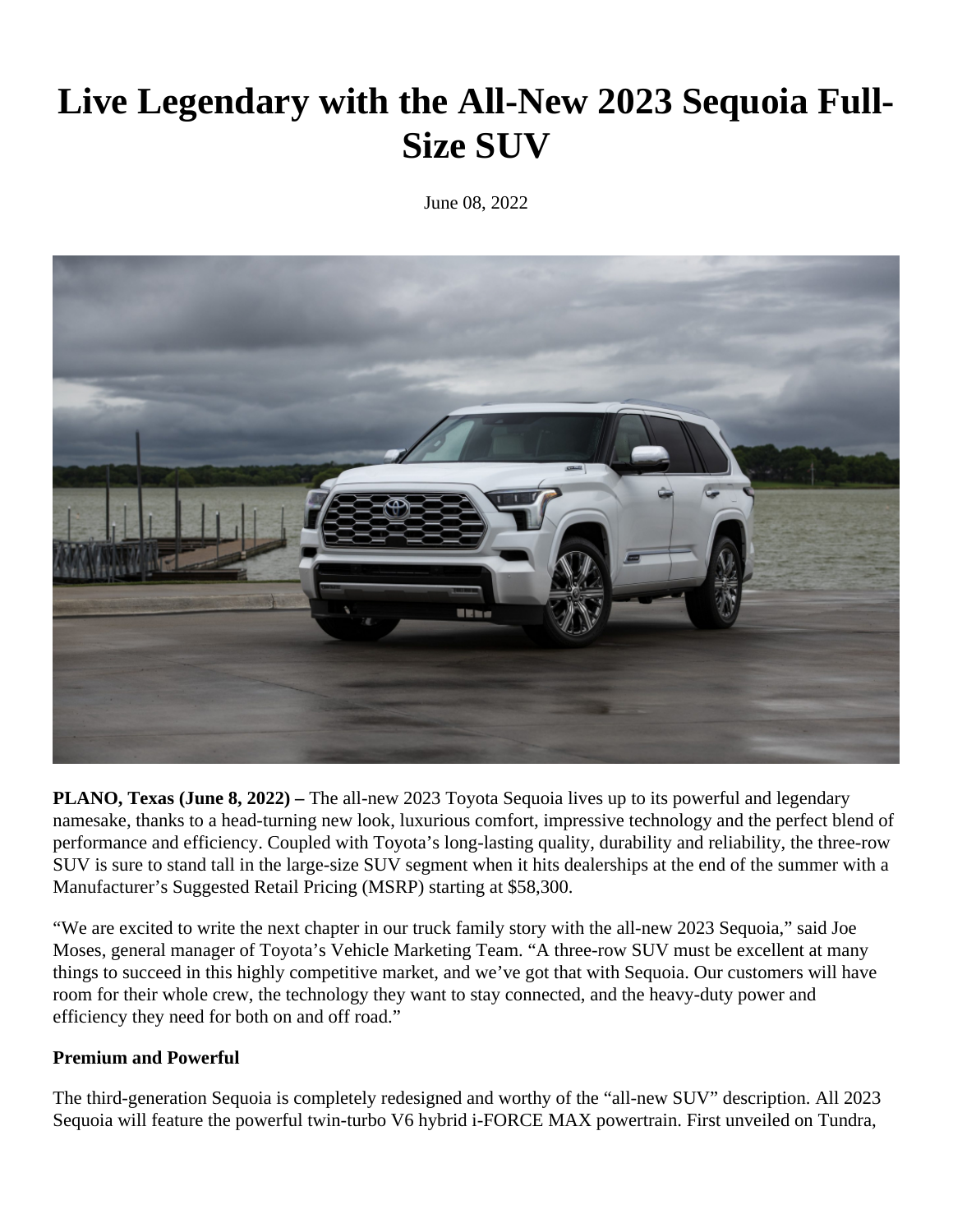# **Live Legendary with the All-New 2023 Sequoia Full-Size SUV**

June 08, 2022



**PLANO, Texas (June 8, 2022) –** The all-new 2023 Toyota Sequoia lives up to its powerful and legendary namesake, thanks to a head-turning new look, luxurious comfort, impressive technology and the perfect blend of performance and efficiency. Coupled with Toyota's long-lasting quality, durability and reliability, the three-row SUV is sure to stand tall in the large-size SUV segment when it hits dealerships at the end of the summer with a Manufacturer's Suggested Retail Pricing (MSRP) starting at \$58,300.

"We are excited to write the next chapter in our truck family story with the all-new 2023 Sequoia," said Joe Moses, general manager of Toyota's Vehicle Marketing Team. "A three-row SUV must be excellent at many things to succeed in this highly competitive market, and we've got that with Sequoia. Our customers will have room for their whole crew, the technology they want to stay connected, and the heavy-duty power and efficiency they need for both on and off road."

#### **Premium and Powerful**

The third-generation Sequoia is completely redesigned and worthy of the "all-new SUV" description. All 2023 Sequoia will feature the powerful twin-turbo V6 hybrid i-FORCE MAX powertrain. First unveiled on Tundra,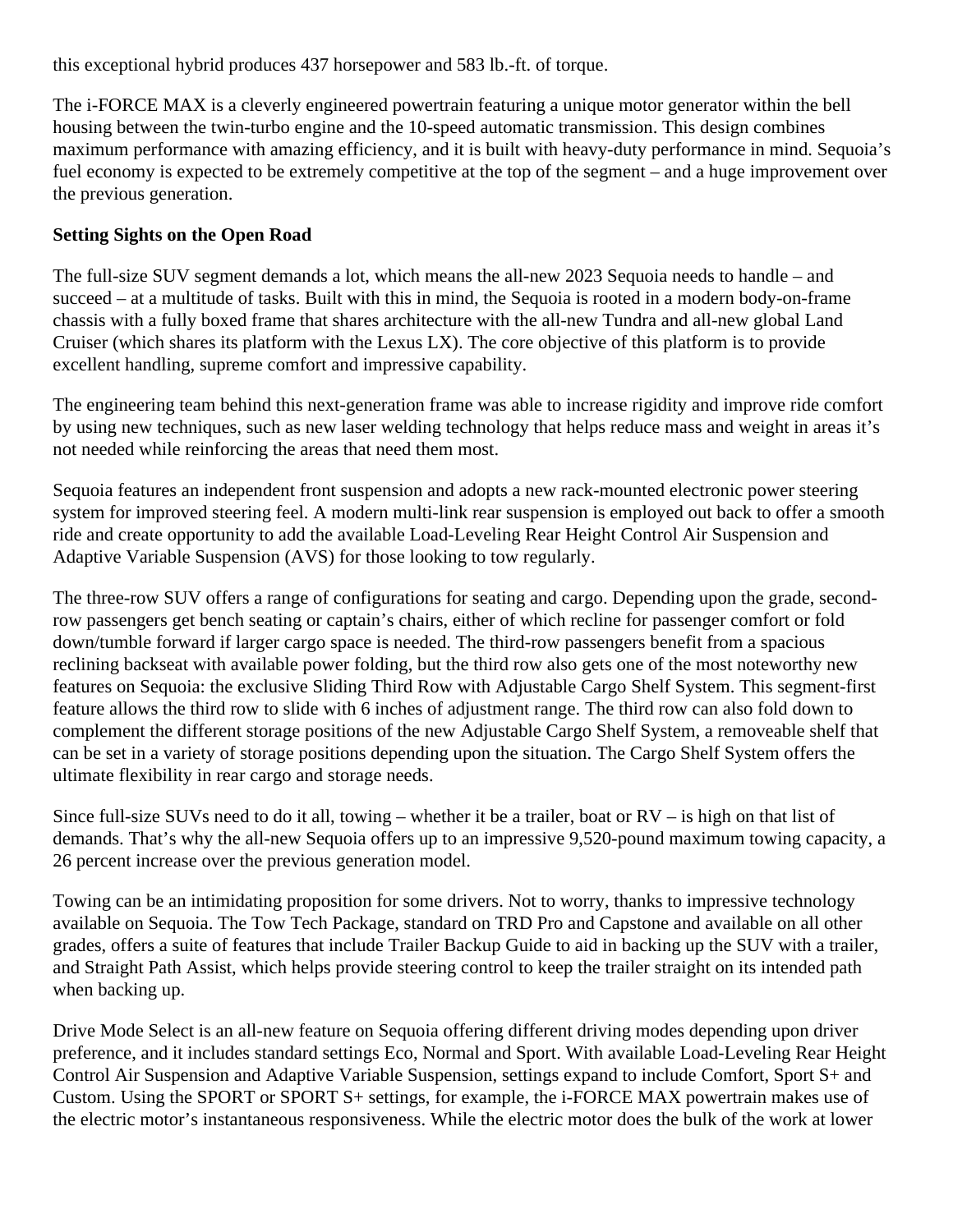this exceptional hybrid produces 437 horsepower and 583 lb.-ft. of torque.

The i-FORCE MAX is a cleverly engineered powertrain featuring a unique motor generator within the bell housing between the twin-turbo engine and the 10-speed automatic transmission. This design combines maximum performance with amazing efficiency, and it is built with heavy-duty performance in mind. Sequoia's fuel economy is expected to be extremely competitive at the top of the segment – and a huge improvement over the previous generation.

## **Setting Sights on the Open Road**

The full-size SUV segment demands a lot, which means the all-new 2023 Sequoia needs to handle – and succeed – at a multitude of tasks. Built with this in mind, the Sequoia is rooted in a modern body-on-frame chassis with a fully boxed frame that shares architecture with the all-new Tundra and all-new global Land Cruiser (which shares its platform with the Lexus LX). The core objective of this platform is to provide excellent handling, supreme comfort and impressive capability.

The engineering team behind this next-generation frame was able to increase rigidity and improve ride comfort by using new techniques, such as new laser welding technology that helps reduce mass and weight in areas it's not needed while reinforcing the areas that need them most.

Sequoia features an independent front suspension and adopts a new rack-mounted electronic power steering system for improved steering feel. A modern multi-link rear suspension is employed out back to offer a smooth ride and create opportunity to add the available Load-Leveling Rear Height Control Air Suspension and Adaptive Variable Suspension (AVS) for those looking to tow regularly.

The three-row SUV offers a range of configurations for seating and cargo. Depending upon the grade, secondrow passengers get bench seating or captain's chairs, either of which recline for passenger comfort or fold down/tumble forward if larger cargo space is needed. The third-row passengers benefit from a spacious reclining backseat with available power folding, but the third row also gets one of the most noteworthy new features on Sequoia: the exclusive Sliding Third Row with Adjustable Cargo Shelf System. This segment-first feature allows the third row to slide with 6 inches of adjustment range. The third row can also fold down to complement the different storage positions of the new Adjustable Cargo Shelf System, a removeable shelf that can be set in a variety of storage positions depending upon the situation. The Cargo Shelf System offers the ultimate flexibility in rear cargo and storage needs.

Since full-size SUVs need to do it all, towing – whether it be a trailer, boat or  $RV -$  is high on that list of demands. That's why the all-new Sequoia offers up to an impressive 9,520-pound maximum towing capacity, a 26 percent increase over the previous generation model.

Towing can be an intimidating proposition for some drivers. Not to worry, thanks to impressive technology available on Sequoia. The Tow Tech Package, standard on TRD Pro and Capstone and available on all other grades, offers a suite of features that include Trailer Backup Guide to aid in backing up the SUV with a trailer, and Straight Path Assist, which helps provide steering control to keep the trailer straight on its intended path when backing up.

Drive Mode Select is an all-new feature on Sequoia offering different driving modes depending upon driver preference, and it includes standard settings Eco, Normal and Sport. With available Load-Leveling Rear Height Control Air Suspension and Adaptive Variable Suspension, settings expand to include Comfort, Sport S+ and Custom. Using the SPORT or SPORT S+ settings, for example, the i-FORCE MAX powertrain makes use of the electric motor's instantaneous responsiveness. While the electric motor does the bulk of the work at lower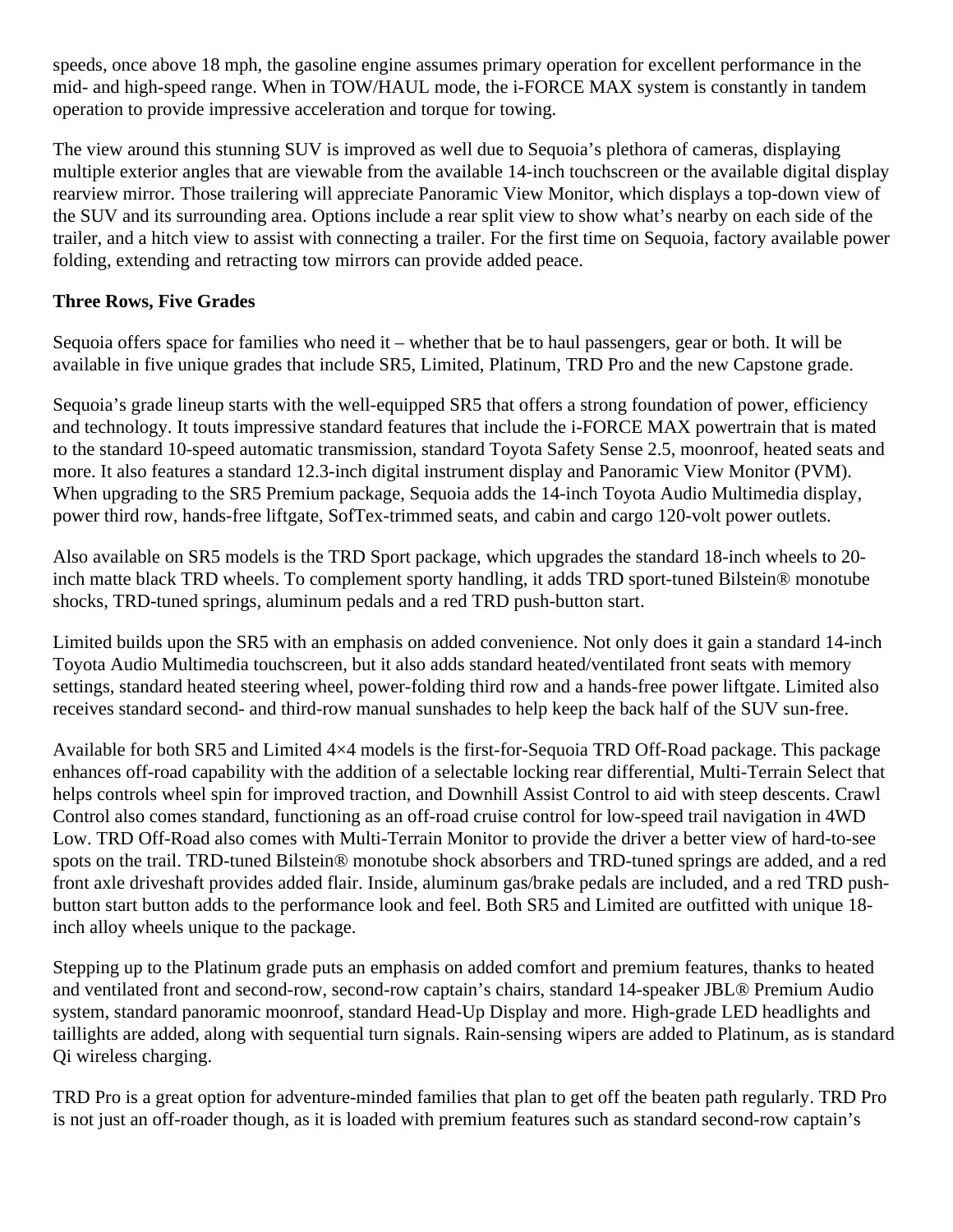speeds, once above 18 mph, the gasoline engine assumes primary operation for excellent performance in the mid- and high-speed range. When in TOW/HAUL mode, the i-FORCE MAX system is constantly in tandem operation to provide impressive acceleration and torque for towing.

The view around this stunning SUV is improved as well due to Sequoia's plethora of cameras, displaying multiple exterior angles that are viewable from the available 14-inch touchscreen or the available digital display rearview mirror. Those trailering will appreciate Panoramic View Monitor, which displays a top-down view of the SUV and its surrounding area. Options include a rear split view to show what's nearby on each side of the trailer, and a hitch view to assist with connecting a trailer. For the first time on Sequoia, factory available power folding, extending and retracting tow mirrors can provide added peace.

### **Three Rows, Five Grades**

Sequoia offers space for families who need it – whether that be to haul passengers, gear or both. It will be available in five unique grades that include SR5, Limited, Platinum, TRD Pro and the new Capstone grade.

Sequoia's grade lineup starts with the well-equipped SR5 that offers a strong foundation of power, efficiency and technology. It touts impressive standard features that include the i-FORCE MAX powertrain that is mated to the standard 10-speed automatic transmission, standard Toyota Safety Sense 2.5, moonroof, heated seats and more. It also features a standard 12.3-inch digital instrument display and Panoramic View Monitor (PVM). When upgrading to the SR5 Premium package, Sequoia adds the 14-inch Toyota Audio Multimedia display, power third row, hands-free liftgate, SofTex-trimmed seats, and cabin and cargo 120-volt power outlets.

Also available on SR5 models is the TRD Sport package, which upgrades the standard 18-inch wheels to 20 inch matte black TRD wheels. To complement sporty handling, it adds TRD sport-tuned Bilstein® monotube shocks, TRD-tuned springs, aluminum pedals and a red TRD push-button start.

Limited builds upon the SR5 with an emphasis on added convenience. Not only does it gain a standard 14-inch Toyota Audio Multimedia touchscreen, but it also adds standard heated/ventilated front seats with memory settings, standard heated steering wheel, power-folding third row and a hands-free power liftgate. Limited also receives standard second- and third-row manual sunshades to help keep the back half of the SUV sun-free.

Available for both SR5 and Limited 4×4 models is the first-for-Sequoia TRD Off-Road package. This package enhances off-road capability with the addition of a selectable locking rear differential, Multi-Terrain Select that helps controls wheel spin for improved traction, and Downhill Assist Control to aid with steep descents. Crawl Control also comes standard, functioning as an off-road cruise control for low-speed trail navigation in 4WD Low. TRD Off-Road also comes with Multi-Terrain Monitor to provide the driver a better view of hard-to-see spots on the trail. TRD-tuned Bilstein® monotube shock absorbers and TRD-tuned springs are added, and a red front axle driveshaft provides added flair. Inside, aluminum gas/brake pedals are included, and a red TRD pushbutton start button adds to the performance look and feel. Both SR5 and Limited are outfitted with unique 18 inch alloy wheels unique to the package.

Stepping up to the Platinum grade puts an emphasis on added comfort and premium features, thanks to heated and ventilated front and second-row, second-row captain's chairs, standard 14-speaker JBL® Premium Audio system, standard panoramic moonroof, standard Head-Up Display and more. High-grade LED headlights and taillights are added, along with sequential turn signals. Rain-sensing wipers are added to Platinum, as is standard Qi wireless charging.

TRD Pro is a great option for adventure-minded families that plan to get off the beaten path regularly. TRD Pro is not just an off-roader though, as it is loaded with premium features such as standard second-row captain's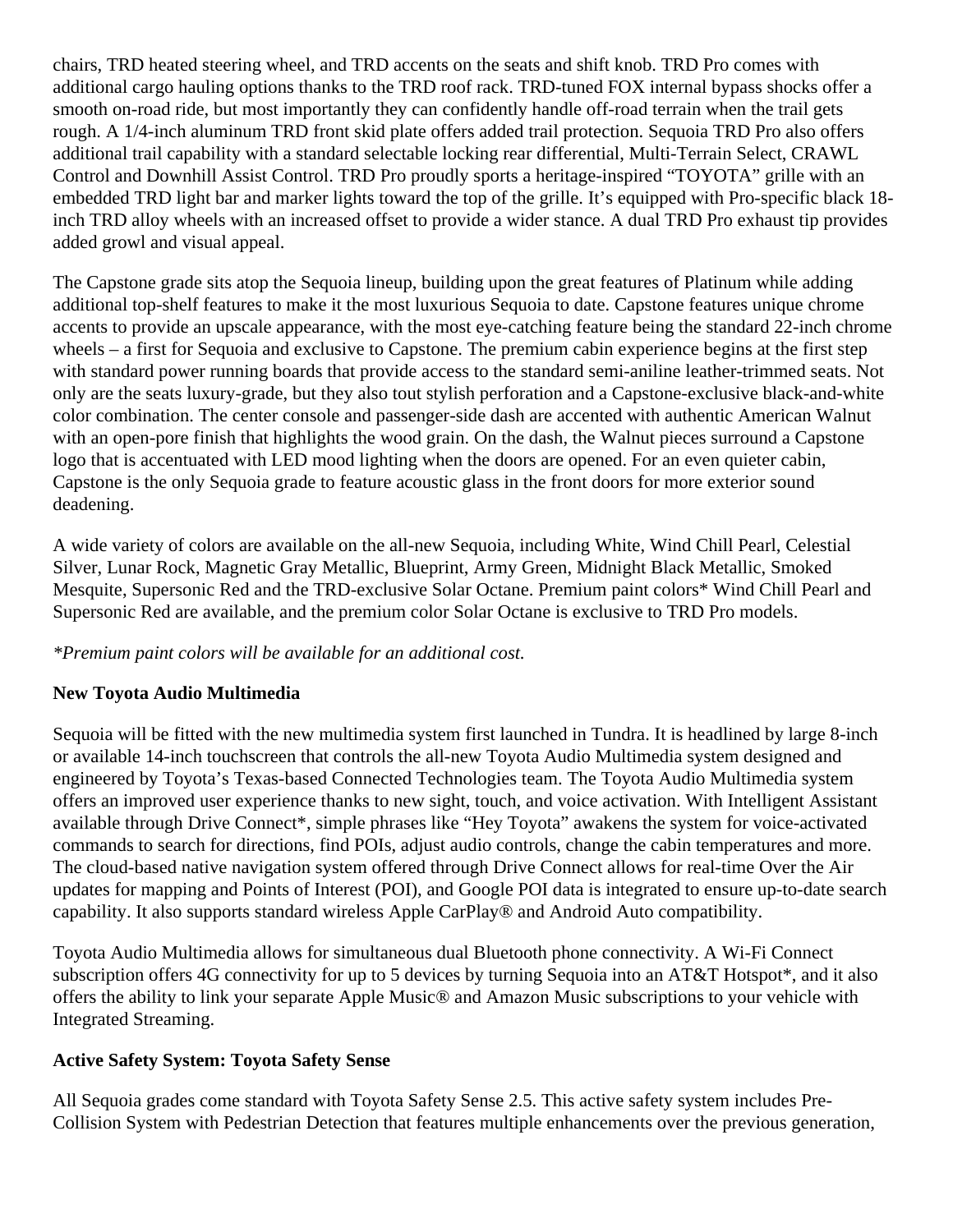chairs, TRD heated steering wheel, and TRD accents on the seats and shift knob. TRD Pro comes with additional cargo hauling options thanks to the TRD roof rack. TRD-tuned FOX internal bypass shocks offer a smooth on-road ride, but most importantly they can confidently handle off-road terrain when the trail gets rough. A 1/4-inch aluminum TRD front skid plate offers added trail protection. Sequoia TRD Pro also offers additional trail capability with a standard selectable locking rear differential, Multi-Terrain Select, CRAWL Control and Downhill Assist Control. TRD Pro proudly sports a heritage-inspired "TOYOTA" grille with an embedded TRD light bar and marker lights toward the top of the grille. It's equipped with Pro-specific black 18 inch TRD alloy wheels with an increased offset to provide a wider stance. A dual TRD Pro exhaust tip provides added growl and visual appeal.

The Capstone grade sits atop the Sequoia lineup, building upon the great features of Platinum while adding additional top-shelf features to make it the most luxurious Sequoia to date. Capstone features unique chrome accents to provide an upscale appearance, with the most eye-catching feature being the standard 22-inch chrome wheels – a first for Sequoia and exclusive to Capstone. The premium cabin experience begins at the first step with standard power running boards that provide access to the standard semi-aniline leather-trimmed seats. Not only are the seats luxury-grade, but they also tout stylish perforation and a Capstone-exclusive black-and-white color combination. The center console and passenger-side dash are accented with authentic American Walnut with an open-pore finish that highlights the wood grain. On the dash, the Walnut pieces surround a Capstone logo that is accentuated with LED mood lighting when the doors are opened. For an even quieter cabin, Capstone is the only Sequoia grade to feature acoustic glass in the front doors for more exterior sound deadening.

A wide variety of colors are available on the all-new Sequoia, including White, Wind Chill Pearl, Celestial Silver, Lunar Rock, Magnetic Gray Metallic, Blueprint, Army Green, Midnight Black Metallic, Smoked Mesquite, Supersonic Red and the TRD-exclusive Solar Octane. Premium paint colors\* Wind Chill Pearl and Supersonic Red are available, and the premium color Solar Octane is exclusive to TRD Pro models.

#### *\*Premium paint colors will be available for an additional cost.*

## **New Toyota Audio Multimedia**

Sequoia will be fitted with the new multimedia system first launched in Tundra. It is headlined by large 8-inch or available 14-inch touchscreen that controls the all-new Toyota Audio Multimedia system designed and engineered by Toyota's Texas-based Connected Technologies team. The Toyota Audio Multimedia system offers an improved user experience thanks to new sight, touch, and voice activation. With Intelligent Assistant available through Drive Connect\*, simple phrases like "Hey Toyota" awakens the system for voice-activated commands to search for directions, find POIs, adjust audio controls, change the cabin temperatures and more. The cloud-based native navigation system offered through Drive Connect allows for real-time Over the Air updates for mapping and Points of Interest (POI), and Google POI data is integrated to ensure up-to-date search capability. It also supports standard wireless Apple CarPlay® and Android Auto compatibility.

Toyota Audio Multimedia allows for simultaneous dual Bluetooth phone connectivity. A Wi-Fi Connect subscription offers 4G connectivity for up to 5 devices by turning Sequoia into an AT&T Hotspot\*, and it also offers the ability to link your separate Apple Music® and Amazon Music subscriptions to your vehicle with Integrated Streaming.

#### **Active Safety System: Toyota Safety Sense**

All Sequoia grades come standard with Toyota Safety Sense 2.5. This active safety system includes Pre-Collision System with Pedestrian Detection that features multiple enhancements over the previous generation,